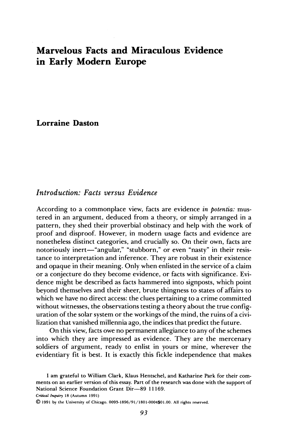# **Marvelous Facts and Miraculous Evidence in Early Modern Europe**

# **Lorraine Daston**

### **Introduction: Facts versus Evidence**

**According to a commonplace view, facts are evidence in potentia: mustered in an argument, deduced from a theory, or simply arranged in a pattern, they shed their proverbial obstinacy and help with the work of proof and disproof. However, in modern usage facts and evidence are nonetheless distinct categories, and crucially so. On their own, facts are**  notoriously inert—"angular," "stubborn," or even "nasty" in their resis**tance to interpretation and inference. They are robust in their existence and opaque in their meaning. Only when enlisted in the service of a claim or a conjecture do they become evidence, or facts with significance. Evidence might be described as facts hammered into signposts, which point beyond themselves and their sheer, brute thingness to states of affairs to which we have no direct access: the clues pertaining to a crime committed without witnesses, the observations testing a theory about the true configuration of the solar system or the workings of the mind, the ruins of a civilization that vanished millennia ago, the indices that predict the future.** 

**On this view, facts owe no permanent allegiance to any of the schemes into which they are impressed as evidence. They are the mercenary soldiers of argument, ready to enlist in yours or mine, wherever the evidentiary fit is best. It is exactly this fickle independence that makes** 

**Critical Inquiry 18 (Autumn 1991)** 

**I am grateful to William Clark, Klaus Hentschel, and Katharine Park for their comments on an earlier version of this essay. Part of the research was done with the support of**  National Science Foundation Grant Dir-89 11169.

**<sup>) 1991</sup> by the University of Chicago. 0093-1896/91/1801-0004\$01.00. All rights reserved.**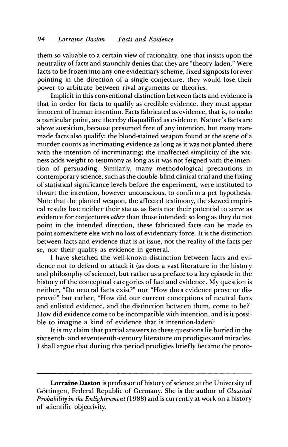**them so valuable to a certain view of rationality, one that insists upon the neutrality of facts and staunchly denies that they are "theory-laden." Were facts to be frozen into any one evidentiary scheme, fixed signposts forever pointing in the direction of a single conjecture, they would lose their power to arbitrate between rival arguments or theories.** 

**Implicit in this conventional distinction between facts and evidence is that in order for facts to qualify as credible evidence, they must appear innocent of human intention. Facts fabricated as evidence, that is, to make a particular point, are thereby disqualified as evidence. Nature's facts are above suspicion, because presumed free of any intention, but many manmade facts also qualify: the blood-stained weapon found at the scene of a murder counts as incrimating evidence as long as it was not planted there with the intention of incriminating; the unaffected simplicity of the witness adds weight to testimony as long as it was not feigned with the intention of persuading. Similarly, many methodological precautions in contemporary science, such as the double-blind clinical trial and the fixing of statistical significance levels before the experiment, were instituted to thwart the intention, however unconscious, to confirm a pet hypothesis. Note that the planted weapon, the affected testimony, the skewed empirical results lose neither their status as facts nor their potential to serve as evidence for conjectures other than those intended: so long as they do not point in the intended direction, these fabricated facts can be made to point somewhere else with no loss of evidentiary force. It is the distinction between facts and evidence that is at issue, not the reality of the facts per se, nor their quality as evidence in general.** 

**I have sketched the well-known distinction between facts and evidence not to defend or attack it (as does a vast literature in the history and philosophy of science), but rather as a preface to a key episode in the history of the conceptual categories of fact and evidence. My question is neither, "Do neutral facts exist?" nor "How does evidence prove or disprove?" but rather, "How did our current conceptions of neutral facts and enlisted evidence, and the distinction between them, come to be?" How did evidence come to be incompatible with intention, and is it possible to imagine a kind of evidence that is intention-laden?** 

**It is my claim that partial answers to these questions lie buried in the sixteenth- and seventeenth-century literature on prodigies and miracles. I shall argue that during this period prodigies briefly became the proto-**

**Lorraine Daston is professor of history of science at the University of Gottingen, Federal Republic of Germany. She is the author of Classical Probability in the Enlightenment (1988) and is currently at work on a history of scientific objectivity.**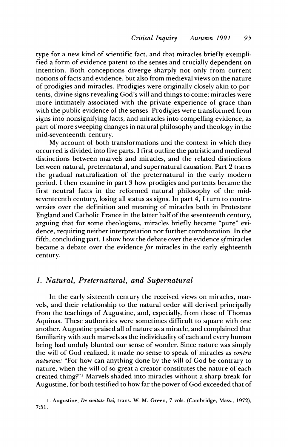**type for a new kind of scientific fact, and that miracles briefly exemplified a form of evidence patent to the senses and crucially dependent on intention. Both conceptions diverge sharply not only from current notions of facts and evidence, but also from medieval views on the nature of prodigies and miracles. Prodigies were originally closely akin to portents, divine signs revealing God's will and things to come; miracles were more intimately associated with the private experience of grace than with the public evidence of the senses. Prodigies were transformed from signs into nonsignifying facts, and miracles into compelling evidence, as part of more sweeping changes in natural philosophy and theology in the mid-seventeenth century.** 

**My account of both transformations and the context in which they occurred is divided into five parts. I first outline the patristic and medieval distinctions between marvels and miracles, and the related distinctions between natural, preternatural, and supernatural causation. Part 2 traces the gradual naturalization of the preternatural in the early modern period. I then examine in part 3 how prodigies and portents became the first neutral facts in the reformed natural philosophy of the midseventeenth century, losing all status as signs. In part 4, I turn to controversies over the definition and meaning of miracles both in Protestant England and Catholic France in the latter half of the seventeenth century, arguing that for some theologians, miracles briefly became "pure" evidence, requiring neither interpretation nor further corroboration. In the fifth, concluding part, I show how the debate over the evidence of miracles**  became a debate over the evidence for miracles in the early eighteenth **century.** 

# **1. Natural, Preternatural, and Supernatural**

**In the early sixteenth century the received views on miracles, marvels, and their relationship to the natural order still derived principally from the teachings of Augustine, and, especially, from those of Thomas Aquinas. These authorities were sometimes difficult to square with one another. Augustine praised all of nature as a miracle, and complained that familiarity with such marvels as the individuality of each and every human being had unduly blunted our sense of wonder. Since nature was simply the will of God realized, it made no sense to speak of miracles as contra naturam: "For how can anything done by the will of God be contrary to nature, when the will of so great a creator constitutes the nature of each created thing?"' Marvels shaded into miracles without a sharp break for Augustine, for both testified to how far the power of God exceeded that of** 

**1. Augustine, De civitate Dei, trans. W. M. Green, 7 vols. (Cambridge, Mass., 1972), 7:51.**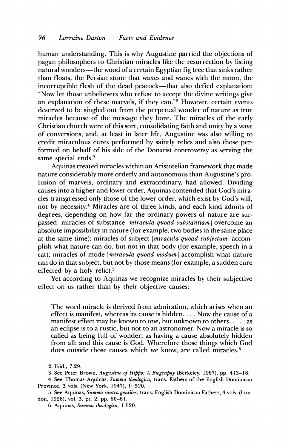**human understanding. This is why Augustine parried the objections of pagan philosophers to Christian miracles like the resurrection by listing natural wonders-the wood of a certain Egyptian fig tree that sinks rather than floats, the Persian stone that waxes and wanes with the moon, the**  incorruptible flesh of the dead peacock-that also defied explanation: **"Now let those unbelievers who refuse to accept the divine writings give an explanation of these marvels, if they can."2 However, certain events deserved to be singled out from the perpetual wonder of nature as true miracles because of the message they bore. The miracles of the early Christian church were of this sort, consolidating faith and unity by a wave of conversions, and, at least in later life, Augustine was also willing to credit miraculous cures performed by saintly relics and also those performed on behalf of his side of the Donatist controversy as serving the same special ends.3** 

**Aquinas treated miracles within an Aristotelian framework that made nature considerably more orderly and autonomous than Augustine's profusion of marvels, ordinary and extraordinary, had allowed. Dividing causes into a higher and lower order, Aquinas contended that God's miracles transgressed only those of the lower order, which exist by God's will, not by necessity.4 Miracles are of three kinds, and each kind admits of degrees, depending on how far the ordinary powers of nature are surpassed: miracles of substance [miracula quoad substantiam] overcome an absolute impossibility in nature (for example, two bodies in the same place at the same time); miracles of subject [miracula quoad subjectum] accomplish what nature can do, but not in that body (for example, speech in a cat); miracles of mode [miracula quoad modum] accomplish what nature can do in that subject, but not by those means (for example, a sudden cure effected by a holy relic).5** 

**Yet according to Aquinas we recognize miracles by their subjective effect on us rather than by their objective causes:** 

**The word miracle is derived from admiration, which arises when an effect is manifest, whereas its cause is hidden.... Now the cause of a manifest effect may be known to one, but unknown to others....: as an eclipse is to a rustic, but not to an astronomer. Now a miracle is so called as being full of wonder; as having a cause absolutely hidden from all: and this cause is God. Wherefore those things which God does outside those causes which we know, are called miracles.6** 

**3. See Peter Brown, Augustine of Hippo: A Biography (Berkeley, 1967), pp. 413-18.** 

**4. See Thomas Aquinas, Summa theologica, trans. Fathers of the English Dominican Province, 3 vols. (New York, 1947), 1: 520.** 

**5. See Aquinas, Summa contra gentiles, trans. English Dominican Fathers, 4 vols. (London, 1928), vol. 3, pt. 2, pp. 60-61.** 

**6. Aquinas, Summa theologica, 1:520.** 

**<sup>2.</sup> Ibid., 7:29.**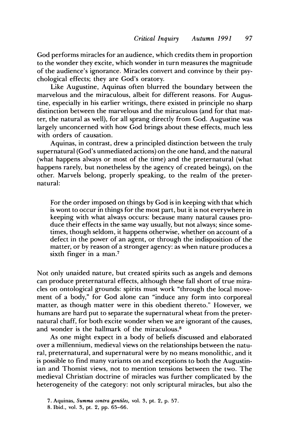**God performs miracles for an audience, which credits them in proportion to the wonder they excite, which wonder in turn measures the magnitude of the audience's ignorance. Miracles convert and convince by their psychological effects; they are God's oratory.** 

**Like Augustine, Aquinas often blurred the boundary between the marvelous and the miraculous, albeit for different reasons. For Augustine, especially in his earlier writings, there existed in principle no sharp distinction between the marvelous and the miraculous (and for that matter, the natural as well), for all sprang directly from God. Augustine was largely unconcerned with how God brings about these effects, much less with orders of causation.** 

**Aquinas, in contrast, drew a principled distinction between the truly supernatural (God's unmediated actions) on the one hand, and the natural (what happens always or most of the time) and the preternatural (what happens rarely, but nonetheless by the agency of created beings), on the other. Marvels belong, properly speaking, to the realm of the preternatural:** 

**For the order imposed on things by God is in keeping with that which is wont to occur in things for the most part, but it is not everywhere in keeping with what always occurs: because many natural causes produce their effects in the same way usually, but not always; since sometimes, though seldom, it happens otherwise, whether on account of a defect in the power of an agent, or through the indisposition of the matter, or by reason of a stronger agency: as when nature produces a sixth finger in a man.7** 

**Not only unaided nature, but created spirits such as angels and demons can produce preternatural effects, although these fall short of true miracles on ontological grounds: spirits must work "through the local movement of a body," for God alone can "induce any form into corporeal matter, as though matter were in this obedient thereto." However, we humans are hard put to separate the supernatural wheat from the preternatural chaff, for both excite wonder when we are ignorant of the causes, and wonder is the hallmark of the miraculous.8** 

**As one might expect in a body of beliefs discussed and elaborated over a millennium, medieval views on the relationships between the natural, preternatural, and supernatural were by no means monolithic, and it is possible to find many variants on and exceptions to both the Augustinian and Thomist views, not to mention tensions between the two. The medieval Christian doctrine of miracles was further complicated by the heterogeneity of the category: not only scriptural miracles, but also the** 

**<sup>7.</sup> Aquinas, Summa contra gentiles, vol. 3, pt. 2, p. 57.** 

**<sup>8.</sup> Ibid., vol. 3, pt. 2, pp. 65-66.**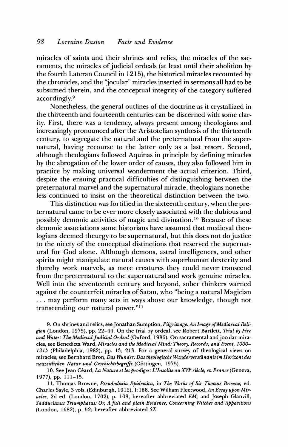**miracles of saints and their shrines and relics, the miracles of the sacraments, the miracles of judicial ordeals (at least until their abolition by the fourth Lateran Council in 1215), the historical miracles recounted by the chronicles, and the "jocular" miracles inserted in sermons all had to be subsumed therein, and the conceptual integrity of the category suffered accordingly.9** 

**Nonetheless, the general outlines of the doctrine as it crystallized in the thirteenth and fourteenth centuries can be discerned with some clarity. First, there was a tendency, always present among theologians and increasingly pronounced after the Aristotelian synthesis of the thirteenth century, to segregate the natural and the preternatural from the supernatural, having recourse to the latter only as a last resort. Second, although theologians followed Aquinas in principle by defining miracles by the abrogation of the lower order of causes, they also followed him in practice by making universal wonderment the actual criterion. Third, despite the ensuing practical difficulties of distinguishing between the preternatural marvel and the supernatural miracle, theologians nonetheless continued to insist on the theoretical distinction between the two.** 

**This distinction was fortified in the sixteenth century, when the preternatural came to be ever more closely associated with the dubious and possibly demonic activities of magic and divination.'0 Because of these demonic associations some historians have assumed that medieval theologians deemed theurgy to be supernatural, but this does not do justice to the nicety of the conceptual distinctions that reserved the supernatural for God alone. Although demons, astral intelligences, and other spirits might manipulate natural causes with superhuman dexterity and thereby work marvels, as mere creatures they could never transcend from the preternatural to the supernatural and work genuine miracles. Well into the seventeenth century and beyond, sober thinkers warned against the counterfeit miracles of Satan, who "being a natural Magician ... may perform many acts in ways above our knowledge, though not transcending our natural power.""** 

9. On shrines and relics, see Jonathan Sumption, *Pilgrimage: An Image of Mediaeval Reli***gion (London, 1975), pp. 22-44. On the trial by ordeal, see Robert Bartlett, Trial by Fire**  and Water: The Medieval Judicial Ordeal (Oxford, 1986). On sacramental and jocular mira**cles, see Benedicta Ward, Miracles and the Medieval Mind: Theory, Records, and Event, 1000- 1215 (Philadelphia, 1982), pp. 13, 213. For a general survey of theological views on miracles, see Bernhard Bron, Das Wunder: Das theologische Wunderverstandnis im Horizont des neuzeitlichen Natur und Geschichtsbegriffs (G6ttingen, 1975).** 

10. See Jean Céard, La Nature et les prodiges: L'Insolite au XVI<sup>e</sup> siècle, en France (Geneva, **1977), pp. 111-15.** 

**11. Thomas Browne, Pseudodoxia Epidemica, in The Works of Sir Thomas Browne, ed. Charles Sayle, 3 vols. (Edinburgh, 1912), 1:188. See William Fleetwood, An Essay upon Miracles, 2d ed. (London, 1702), p. 108; hereafter abbreviated EM; and Joseph Glanvill, Sadducismus Triumphatus: Or, A full and plain Evidence, Concerning Witches and Apparitions (London, 1682), p. 52; hereafter abbreviated ST.**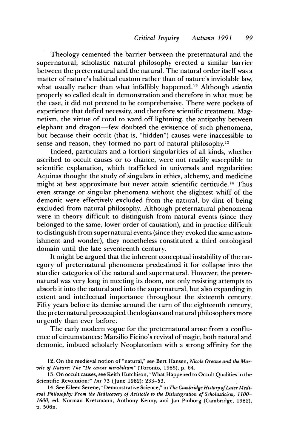**Theology cemented the barrier between the preternatural and the supernatural; scholastic natural philosophy erected a similar barrier between the preternatural and the natural. The natural order itself was a matter of nature's habitual custom rather than of nature's inviolable law, what usually rather than what infallibly happened.12 Although scientia properly so called dealt in demonstration and therefore in what must be the case, it did not pretend to be comprehensive. There were pockets of experience that defied necessity, and therefore scientific treatment. Magnetism, the virtue of coral to ward off lightning, the antipathy between elephant and dragon-few doubted the existence of such phenomena, but because their occult (that is, "hidden") causes were inaccessible to sense and reason, they formed no part of natural philosophy.'3** 

**Indeed, particulars and a fortiori singularities of all kinds, whether ascribed to occult causes or to chance, were not readily susceptible to scientific explanation, which trafficked in universals and regularities: Aquinas thought the study of singulars in ethics, alchemy, and medicine might at best approximate but never attain scientific certitude.'4 Thus even strange or singular phenomena without the slightest whiff of the demonic were effectively excluded from the natural, by dint of being excluded from natural philosophy. Although preternatural phenomena were in theory difficult to distinguish from natural events (since they belonged to the same, lower order of causation), and in practice difficult to distinguish from supernatural events (since they evoked the same astonishment and wonder), they nonetheless constituted a third ontological domain until the late seventeenth century.** 

**It might be argued that the inherent conceptual instability of the category of preternatural phenomena predestined it for collapse into the sturdier categories of the natural and supernatural. However, the preternatural was very long in meeting its doom, not only resisting attempts to absorb it into the natural and into the supernatural, but also expanding in extent and intellectual importance throughout the sixteenth century. Fifty years before its demise around the turn of the eighteenth century, the preternatural preoccupied theologians and natural philosophers more urgently than ever before.** 

**The early modern vogue for the preternatural arose from a confluence of circumstances: Marsilio Ficino's revival of magic, both natural and demonic, imbued scholarly Neoplatonism with a strong affinity for the** 

**13. On occult causes, see Keith Hutchison, "What Happened to Occult Qualities in the Scientific Revolution?" Isis 73 (June 1982): 233-53.** 

**14. See Eileen Serene, "Demonstrative Science," in The Cambridge History of Later Medieval Philosophy: From the Rediscovery of Aristotle to the Disintegration of Scholasticism, 1100- 1600, ed. Norman Kretzmann, Anthony Kenny, and Jan Pinborg (Cambridge, 1982), p. 506n.** 

**<sup>12.</sup> On the medieval notion of "natural," see Bert Hansen, Nicole Oresme and the Marvels of Nature: The "De causis mirabilium" (Toronto, 1985), p. 64.**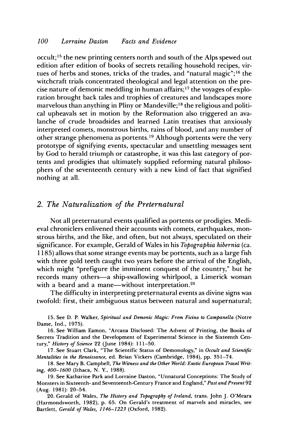**occult;'5 the new printing centers north and south of the Alps spewed out edition after edition of books of secrets retailing household recipes, virtues of herbs and stones, tricks of the trades, and "natural magic";'6 the witchcraft trials concentrated theological and legal attention on the precise nature of demonic meddling in human affairs; 7 the voyages of exploration brought back tales and trophies of creatures and landscapes more**  marvelous than anything in Pliny or Mandeville;<sup>18</sup> the religious and politi**cal upheavals set in motion by the Reformation also triggered an avalanche of crude broadsides and learned Latin treatises that anxiously interpreted comets, monstrous births, rains of blood, and any number of other strange phenomena as portents.19 Although portents were the very prototype of signifying events, spectacular and unsettling messages sent by God to herald triumph or catastrophe, it was this last category of portents and prodigies that ultimately supplied reforming natural philosophers of the seventeenth century with a new kind of fact that signified nothing at all.** 

## **2. The Naturalization of the Preternatural**

**Not all preternatural events qualified as portents or prodigies. Medieval chroniclers enlivened their accounts with comets, earthquakes, monstrous births, and the like, and often, but not always, speculated on their significance. For example, Gerald of Wales in his Topographia hibernia (ca. 1185) allows that some strange events may be portents, such as a large fish with three gold teeth caught two years before the arrival of the English, which might "prefigure the imminent conquest of the country," but he records many others-a ship-swallowing whirlpool, a Limerick woman**  with a beard and a mane-without interpretation.<sup>20</sup>

**The difficulty in interpreting preternatural events as divine signs was twofold: first, their ambiguous status between natural and supernatural;** 

**15. See D. P. Walker, Spiritual and Demonic Magic: From Ficino to Campanella (Notre Dame, Ind., 1975).** 

**16. See William Eamon, "Arcana Disclosed: The Advent of Printing, the Books of Secrets Tradition and the Development of Experimental Science in the Sixteenth Century," History of Science 22 (June 1984): 111-50.** 

**17. See Stuart Clark, "The Scientific Status of Demonology," in Occult and Scientific Mentalities in the Renaissance, ed. Brian Vickers (Cambridge, 1984), pp. 351-74.** 

**18. See Mary B. Campbell, The Witness and the Other World: Exotic European Travel Writing, 400-1600 (Ithaca, N. Y., 1988).** 

**19. See Katharine Park and Lorraine Daston, "Unnatural Conceptions: The Study of Monsters in Sixteenth- and Seventeenth-Century France and England," Past and Present 92 (Aug. 1981): 20-54.** 

**20. Gerald of Wales, The History and Topography of Ireland, trans. John J. O'Meara (Harmondsworth, 1982), p. 65. On Gerald's treatment of marvels and miracles, see Bartlett, Gerald of Wales, 1146-1223 (Oxford, 1982).**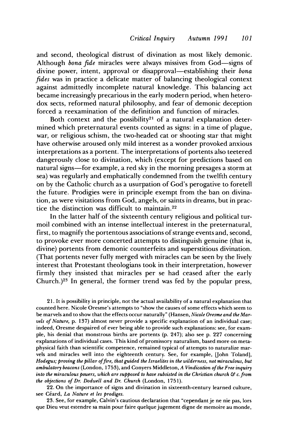**and second, theological distrust of divination as most likely demonic.**  Although bona fide miracles were always missives from God-signs of **divine power, intent, approval or disapproval-establishing their bona fides was in practice a delicate matter of balancing theological context against admittedly incomplete natural knowledge. This balancing act became increasingly precarious in the early modern period, when heterodox sects, reformed natural philosophy, and fear of demonic deception forced a reexamination of the definition and function of miracles.** 

Both context and the possibility<sup>21</sup> of a natural explanation deter**mined which preternatural events counted as signs: in a time of plague, war, or religious schism, the two-headed cat or shooting star that might have otherwise aroused only mild interest as a wonder provoked anxious interpretations as a portent. The interpretations of portents also teetered dangerously close to divination, which (except for predictions based on natural signs-for example, a red sky in the morning presages a storm at sea) was regularly and emphatically condemned from the twelfth century on by the Catholic church as a usurpation of God's perogative to foretell the future. Prodigies were in principle exempt from the ban on divination, as were visitations from God, angels, or saints in dreams, but in practice the distinction was difficult to maintain.22** 

**In the latter half of the sixteenth century religious and political turmoil combined with an intense intellectual interest in the preternatural, first, to magnify the portentous associations of strange events and, second, to provoke ever more concerted attempts to distinguish genuine (that is, divine) portents from demonic counterfeits and superstitious divination. (That portents never fully merged with miracles can be seen by the lively interest that Protestant theologians took in their interpretation, however firmly they insisted that miracles per se had ceased after the early Church.)23 In general, the former trend was fed by the popular press,** 

**21. It is possibility in principle, not the actual availability of a natural explanation that counted here. Nicole Oresme's attempts to "show the causes of some effects which seem to be marvels and to show that the effects occur naturally" (Hansen, Nicole Oresme and the Marvels of Nature, p. 137) almost never provide a specific explanation of an individual case; indeed, Oresme despaired of ever being able to provide such explanations: see, for example, his denial that monstrous births are portents (p. 247); also see p. 227 concerning explanations of individual cases. This kind of promissory naturalism, based more on metaphysical faith than scientific competence, remained typical of attempts to naturalize marvels and miracles well into the eighteenth century. See, for example, [John Toland], Hodegus; proving the pillar offire, that guided the Israelites in the wilderness, not miraculous, but ambulatory beacons (London, 1753), and Conyers Middleton, A Vindication of the Free inquiry into the miraculous powers, which are supposed to have subsisted in the Christian church & c. from the objections of Dr. Dodwell and Dr. Church (London, 1751).** 

**22. On the importance of signs and divination in sixteenth-century learned culture,**  see Céard, *La Nature et les prodiges*.

23. See, for example, Calvin's cautious declaration that "cependant je ne nie pas, lors **que Dieu veut estendre sa main pour faire quelquejugement digne de memoire au monde,**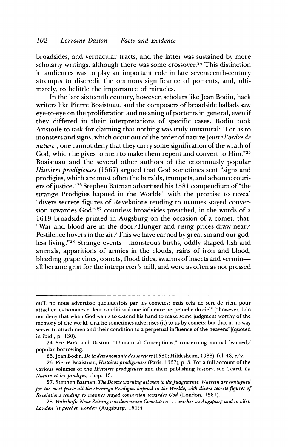**broadsides, and vernacular tracts, and the latter was sustained by more scholarly writings, although there was some crossover.24 This distinction in audiences was to play an important role in late seventeenth-century attempts to discredit the ominous significance of portents, and, ultimately, to belittle the importance of miracles.** 

**In the late sixteenth century, however, scholars like Jean Bodin, hack writers like Pierre Boaistuau, and the composers of broadside ballads saw eye-to-eye on the proliferation and meaning of portents in general, even if they differed in their interpretations of specific cases. Bodin took Aristotle to task for claiming that nothing was truly unnatural: "For as to monsters and signs, which occur out of the order of nature [outre l'ordre de nature], one cannot deny that they carry some signification of the wrath of God, which he gives to men to make them repent and convert to Him."25 Boaistuau and the several other authors of the enormously popular Histoires prodigieuses (1567) argued that God sometimes sent "signs and prodigies, which are most often the heralds, trumpets, and advance couriers ofjustice."26 Stephen Batman advertised his 1581 compendium of "the strange Prodigies hapned in the Worlde" with the promise to reveal "divers secrete figures of Revelations tending to mannes stayed conversion towardes God";27 countless broadsides preached, in the words of a 1619 broadside printed in Augsburg on the occasion of a comet, that: "War and blood are in the door/Hunger and rising prices draw near/ Pestilence hovers in the air/This we have earned by great sin and our god**less living."<sup>28</sup> Strange events--monstrous births, oddly shaped fish and **animals, apparitions of armies in the clouds, rains of iron and blood, bleeding grape vines, comets, flood tides, swarms of insects and verminall became grist for the interpreter's mill, and were as often as not pressed** 

**qu'il ne nous advertisse quelquesfois par les cometes: mais cela ne sert de rien, pour attacher les hommes et leur condition a une influence perpetuelle du ciel" ["however, I do not deny that when God wants to extend his hand to make some judgment worthy of the memory of the world, that he sometimes advertises (it) to us by comets: but that in no way serves to attach men and their condition to a perpetual influence of the heavens"](quoted in ibid., p. 130).** 

**<sup>24.</sup> See Park and Daston, "Unnatural Conceptions," concerning mutual learned/ popular borrowing.** 

<sup>25.</sup> Jean Bodin, *De la démonomanie des sorciers* (1580; Hildesheim, 1988), fol. 48, r/v.

**<sup>26.</sup> Pierre Boaistuau, Histoires prodigieuses (Paris, 1567), p. 5. For a full account of the**  various volumes of the Histoires prodigieuses and their publishing history, see Céard, La **Nature et les prodiges, chap. 13.** 

<sup>27.</sup> Stephen Batman, The Doome warning all men to the Judgemente. Wherein are contayned **for the most parte all the straunge Prodigies hapned in the Worlde, with divers secrete figures of Revelations tending to mannes stayed conversion towardes God (London, 1581).** 

**<sup>28.</sup> Wahrhafte Neue Zeitung von dem neuen Cometstern .. . welcher zu Augspurg und in vilen Landen ist gesehen worden (Augsburg, 1619).**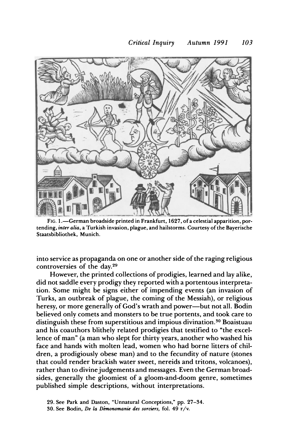

**..- FIG. 1.-German broadside printed in Frankfurt, 1627, of a celestial apparition, portending, inter alia, a Turkish invasion, plague, and hailstorms. Courtesy of the Bayerische Staatsbibliothek, Munich.** 

**into service as propaganda on one or another side of the raging religious controversies of the day.29** 

**However, the printed collections of prodigies, learned and lay alike, did not saddle every prodigy they reported with a portentous interpretation. Some might be signs either of impending events (an invasion of Turks, an outbreak of plague, the coming of the Messiah), or religious heresy, or more generally of God's wrath and power-but not all. Bodin believed only comets and monsters to be true portents, and took care to distinguish these from superstitious and impious divination.30 Boaistuau and his coauthors blithely related prodigies that testified to "the excellence of man" (a man who slept for thirty years, another who washed his face and hands with molten lead, women who had borne litters of children, a prodigiously obese man) and to the fecundity of nature (stones that could render brackish water sweet, nereids and tritons, volcanoes),**  rather than to divine judgements and messages. Even the German broad**sides, generally the gloomiest of a gloom-and-doom genre, sometimes published simple descriptions, without interpretations.** 

**<sup>29.</sup> See Park and Daston, "Unnatural Conceptions," pp. 27-34.** 

<sup>30.</sup> See Bodin, *De la Démonomanie des sorciers*, fol. 49 r/v.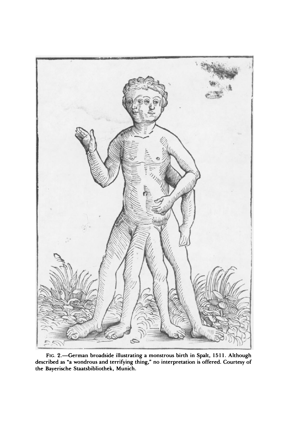

**FIG. 2.-German broadside illustrating a monstrous birth in Spalt, 1511. Although described as "a wondrous and terrifying thing," no interpretation is offered. Courtesy of the Bayerische Staatsbibliothek, Munich.**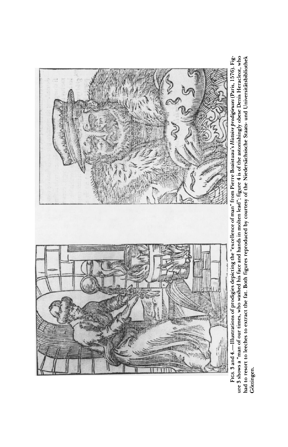

Göttingen.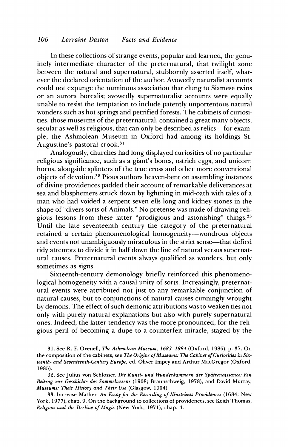#### **106 Lorraine Daston Facts and Evidence**

**In these collections of strange events, popular and learned, the genuinely intermediate character of the preternatural, that twilight zone between the natural and supernatural, stubbornly asserted itself, whatever the declared orientation of the author. Avowedly naturalist accounts could not expunge the numinous association that clung to Siamese twins or an aurora borealis; avowedly supernaturalist accounts were equally unable to resist the temptation to include patently unportentous natural wonders such as hot springs and petrified forests. The cabinets of curiosities, those museums of the preternatural, contained a great many objects,**  secular as well as religious, that can only be described as relics—for exam**ple, the Ashmolean Museum in Oxford had among its holdings St. Augustine's pastoral crook.31** 

**Analogously, churches had long displayed curiosities of no particular religious significance, such as a giant's bones, ostrich eggs, and unicorn horns, alongside splinters of the true cross and other more conventional objects of devotion.32 Pious authors heaven-bent on assembling instances of divine providences padded their account of remarkable deliverances at sea and blasphemers struck down by lightning in mid-oath with tales of a man who had voided a serpent seven ells long and kidney stones in the shape of "divers sorts of Animals." No pretense was made of drawing religious lessons from these latter "prodigious and astonishing" things.33 Until the late seventeenth century the category of the preternatural retained a certain phenomenological homogeneity-wondrous objects and events not unambiguously miraculous in the strict sense-that defied tidy attempts to divide it in half down the line of natural versus supernatural causes. Preternatural events always qualified as wonders, but only sometimes as signs.** 

**Sixteenth-century demonology briefly reinforced this phenomenological homogeneity with a causal unity of sorts. Increasingly, preternatural events were attributed not just to any remarkable conjunction of natural causes, but to conjunctions of natural causes cunningly wrought by demons. The effect of such demonic attributions was to weaken ties not only with purely natural explanations but also with purely supernatural ones. Indeed, the latter tendency was the more pronounced, for the religious peril of becoming a dupe to a counterfeit miracle, staged by the** 

**31. See R. F Ovenell, The Ashmolean Museum, 1683-1894 (Oxford, 1986), p. 37. On the composition of the cabinets, see The Origins of Museums: The Cabinet of Curiosities in Sixteenth- and Seventeenth-Century Europe, ed. Oliver Impey and Arthur MacGregor (Oxford, 1985).** 

**32. See Julius von Schlosser, Die Kunst- und Wunderkammern der Spatrenaissance: Ein Beitrag zur Geschichte des Sammelwesens (1908; Braunschweig, 1978), and David Murray, Museums: Their History and Their Use (Glasgow, 1904).** 

**33. Increase Mather, An Essay for the Recording of Illustrious Providences (1684; New York, 1977), chap. 9. On the background to collections of providences, see Keith Thomas, Religion and the Decline of Magic (New York, 1971), chap. 4.**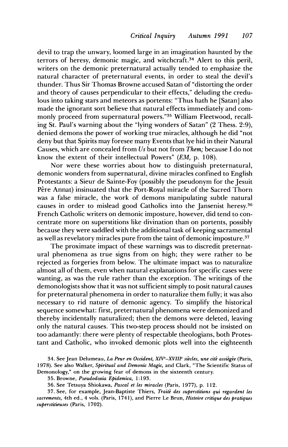**devil to trap the unwary, loomed large in an imagination haunted by the terrors of heresy, demonic magic, and witchcraft.34 Alert to this peril, writers on the demonic preternatural actually tended to emphasize the natural character of preternatural events, in order to steal the devil's thunder. Thus Sir Thomas Browne accused Satan of "distorting the order and theory of causes perpendicular to their effects," deluding the credulous into taking stars and meteors as portents: "Thus hath he [Satan] also made the ignorant sort believe that natural effects immediately and commonly proceed from supernatural powers."35 William Fleetwood, recalling St. Paul's warning about the "lying wonders of Satan" (2 Thess. 2:9), denied demons the power of working true miracles, although he did "not deny but that Spirits may foresee many Events that lye hid in their Natural Causes, which are concealed from Us but not from Them; because I do not know the extent of their intellectual Powers" (EM, p. 108).** 

**Nor were these worries about how to distinguish preternatural, demonic wonders from supernatural, divine miracles confined to English Protestants: a Sieur de Sainte-Foy (possibly the pseudonym for the Jesuit Pere Annat) insinuated that the Port-Royal miracle of the Sacred Thorn was a false miracle, the work of demons manipulating subtle natural causes in order to mislead good Catholics into the Jansenist heresy.36 French Catholic writers on demonic imposture, however, did tend to concentrate more on superstitions like divination than on portents, possibly because they were saddled with the additional task of keeping sacramental as well as revelatory miracles pure from the taint of demonic imposture.37** 

**The proximate impact of these warnings was to discredit preternatural phenomena as true signs from on high; they were rather to be rejected as forgeries from below. The ultimate impact was to naturalize almost all of them, even when natural explanations for specific cases were wanting, as was the rule rather than the exception. The writings of the demonologists show that it was not sufficient simply to posit natural causes for preternatural phenomena in order to naturalize them fully; it was also necessary to rid nature of demonic agency. To simplify the historical sequence somewhat: first, preternatural phenomena were demonized and thereby incidentally naturalized; then the demons were deleted, leaving only the natural causes. This two-step process should not be insisted on too adamantly: there were plenty of respectable theologians, both Protestant and Catholic, who invoked demonic plots well into the eighteenth** 

**35. Browne, Pseudodoxia Epidemica, 1:193.** 

**36. See Tetsuya Shiokawa, Pascal et les miracles (Paris, 1977), p. 112.** 

<sup>34.</sup> See Jean Delumeau, La Peur en Occident, XIV<sup>e</sup>-XVIII<sup>e</sup> siècles, une cité assiégée (Paris, **1978). See also Walker, Spiritual and Demonic Magic, and Clark, "The Scientific Status of Demonology," on the growing fear of demons in the sixteenth century.** 

**<sup>37.</sup> See, for example, Jean-Baptiste Thiers, Traite des superstitions qui regardent les sacrements, 4th ed., 4 vols. (Paris, 1741), and Pierre Le Brun, Histoire critique des pratiques superstitieuses (Paris, 1702).**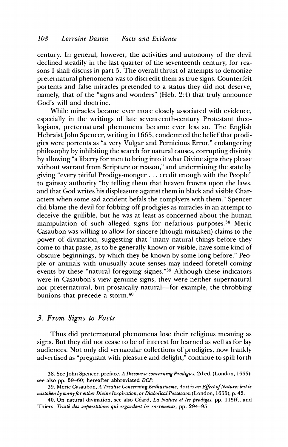**century. In general, however, the activities and autonomy of the devil declined steadily in the last quarter of the seventeenth century, for reasons I shall discuss in part 5. The overall thrust of attempts to demonize preternatural phenomena was to discredit them as true signs. Counterfeit portents and false miracles pretended to a status they did not deserve, namely, that of the "signs and wonders" (Heb. 2:4) that truly announce God's will and doctrine.** 

**While miracles became ever more closely associated with evidence, especially in the writings of late seventeenth-century Protestant theologians, preternatural phenomena became ever less so. The English**  Hebraist John Spencer, writing in 1665, condemned the belief that prodi**gies were portents as "a very Vulgar and Pernicious Error," endangering philosophy by inhibiting the search for natural causes, corrupting divinity by allowing "a liberty for men to bring into it what Divine signs they please without warrant from Scripture or reason," and undermining the state by giving "every pitiful Prodigy-monger ... credit enough with the People" to gainsay authority "by telling them that heaven frowns upon the laws, and that God writes his displeasure against them in black and visible Characters when some sad accident befals the complyers with them." Spencer did blame the devil for fobbing off prodigies as miracles in an attempt to deceive the gullible, but he was at least as concerned about the human manipulation of such alleged signs for nefarious purposes.38 Meric Casaubon was willing to allow for sincere (though mistaken) claims to the power of divination, suggesting that "many natural things before they come to that passe, as to be generally known or visible, have some kind of obscure beginnings, by which they be known by some long before." People or animals with unusually acute senses may indeed foretell coming events by these "natural foregoing signes."39 Although these indicators were in Casaubon's view genuine signs, they were neither supernatural nor preternatural, but prosaically natural-for example, the throbbing bunions that precede a storm.40** 

### **3. From Signs to Facts**

**Thus did preternatural phenomena lose their religious meaning as signs. But they did not cease to be of interest for learned as well as for lay audiences. Not only did vernacular collections of prodigies, now frankly advertised as "pregnant with pleasure and delight," continue to spill forth** 

**<sup>38.</sup> SeeJohn Spencer, preface, A Discourse concerning Prodigies, 2d ed. (London, 1665); see also pp. 59-60; hereafter abbreviated DCP.** 

**<sup>39.</sup> Meric Casaubon, A Treatise Concerning Enthusiasme, As it is an Effect of Nature: but is mistaken by manyfor either Divine Inspiration, or Diabolical Possession (London, 1655), p. 42.** 

<sup>40.</sup> On natural divination, see also Céard, La Nature et les prodiges, pp. 115ff., and **Thiers, Traite des superstitions qui regardent les sacrements, pp. 294-95.**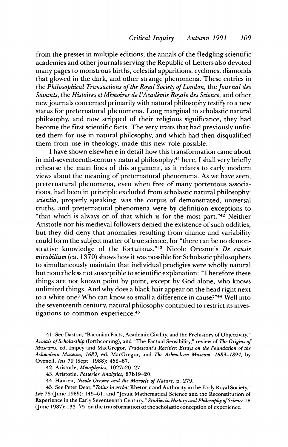**from the presses in multiple editions; the annals of the fledgling scientific academies and other journals serving the Republic of Letters also devoted many pages to monstrous births, celestial apparitions, cyclones, diamonds that glowed in the dark, and other strange phenomena. These entries in the Philosophical Transactions of the Royal Society of London, the Journal des Savants, the Histoires et Memoires de l'Academie Royale des Science, and other new journals concerned primarily with natural philosophy testify to a new status for preternatural phenomena. Long marginal to scholastic natural philosophy, and now stripped of their religious significance, they had become the first scientific facts. The very traits that had previously unfitted them for use in natural philosophy, and which had then disqualified them from use in theology, made this new role possible.** 

**I have shown elsewhere in detail how this transformation came about**  in mid-seventeenth-century natural philosophy;<sup>41</sup> here, I shall very briefly **rehearse the main lines of this argument, as it relates to early modern views about the meaning of preternatural phenomena. As we have seen, preternatural phenomena, even when free of many portentous associations, had been in principle excluded from scholastic natural philosophy: scientia, properly speaking, was the corpus of demonstrated, universal truths, and preternatural phenomena were by definition exceptions to "that which is always or of that which is for the most part."42 Neither Aristotle nor his medieval followers denied the existence of such oddities, but they did deny that anomalies resulting from chance and variability could form the subject matter of true science, for "there can be no demonstrative knowledge of the fortuitous."43 Nicole Oresme's De causis mirabilium (ca. 1370) shows how it was possible for Scholastic philosophers to simultaneously maintain that individual prodigies were wholly natural but nonetheless not susceptible to scientific explanation: "Therefore these things are not known point by point, except by God alone, who knows unlimited things. And why does a black hair appear on the head right next to a white one? Who can know so small a difference in cause?"44 Well into the seventeenth century, natural philosophy continued to restrict its investigations to common experience.45** 

**41. See Daston, "Baconian Facts, Academic Civility, and the Prehistory of Objectivity," Annals of Scholarship (forthcoming), and "The Factual Sensibility," review of The Origins of Museums, ed. Impey and MacGregor, Tradescant's Rarities: Essays on the Foundation of the Ashmolean Museum, 1683, ed. MacGregor, and The Ashmolean Museum, 1683-1894, by Ovenell, Isis 79 (Sept. 1988): 452-67.** 

**42. Aristotle, Metaphysics, 1027a20-27.** 

**43. Aristotle, Posterior Analytics, 87b 19-20.** 

**44. Hansen, Nicole Oresme and the Marvels of Nature, p. 279.** 

**45. See Peter Dear, "Totius in verba: Rhetoric and Authority in the Early Royal Society," Isis 76 (June 1985): 145-61, and "Jesuit Mathematical Science and the Reconstitution of Experience in the Early Seventeenth Century," Studies in History and Philosophy of Science 18 (June 1987): 133-75, on the transformation of the scholastic conception of experience.**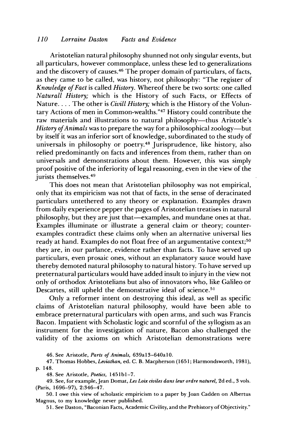#### **110 Lorraine Daston Facts and Evidence**

**Aristotelian natural philosophy shunned not only singular events, but all particulars, however commonplace, unless these led to generalizations and the discovery of causes.46 The proper domain of particulars, of facts, as they came to be called, was history, not philosophy: "The register of Knowledge of Fact is called History. Whereof there be two sorts: one called Naturall History; which is the History of such Facts, or Effects of**  Nature.... The other is *Civill History*; which is the History of the Volun**tary Actions of men in Common-wealths."47 History could contribute the raw materials and illustrations to natural philosophy-thus Aristotle's History of Animals was to prepare the way for a philosophical zoology-but by itself it was an inferior sort of knowledge, subordinated to the study of universals in philosophy or poetry.48 Jurisprudence, like history, also relied predominantly on facts and inferences from them, rather than on universals and demonstrations about them. However, this was simply proof positive of the inferiority of legal reasoning, even in the view of the jurists themselves.49** 

**This does not mean that Aristotelian philosophy was not empirical, only that its empiricism was not that of facts, in the sense of deracinated particulars untethered to any theory or explanation. Examples drawn from daily experience pepper the pages of Aristotelian treatises in natural philosophy, but they are just that-examples, and mundane ones at that. Examples illuminate or illustrate a general claim or theory; counterexamples contradict these claims only when an alternative universal lies ready at hand. Examples do not float free of an argumentative context;50 they are, in our parlance, evidence rather than facts. To have served up particulars, even prosaic ones, without an explanatory sauce would have thereby demoted natural philosophy to natural history. To have served up preternatural particulars would have added insult to injury in the view not only of orthodox Aristotelians but also of innovators who, like Galileo or Descartes, still upheld the demonstrative ideal of science.51** 

**Only a reformer intent on destroying this ideal, as well as specific claims of Aristotelian natural philosophy, would have been able to embrace preternatural particulars with open arms, and such was Francis Bacon. Impatient with Scholastic logic and scornful of the syllogism as an instrument for the investigation of nature, Bacon also challenged the validity of the axioms on which Aristotelian demonstrations were** 

**46. See Aristotle, Parts of Animals, 639al3-640al0.** 

**47. Thomas Hobbes, Leviathan, ed. C. B. Macpherson (1651; Harmondsworth, 1981), p. 148.** 

**48. See Aristotle, Poetics, 1451b1-7.** 

**49. See, for example, Jean Domat, Les Loix civiles dans leur ordre naturel, 2d ed., 3 vols. (Paris, 1696-97), 2:346-47.** 

**50. I owe this view of scholastic empiricism to a paper by Joan Cadden on Albertus Magnus, to my knowledge never published.** 

**51. See Daston, "Baconian Facts, Academic Civility, and the Prehistory of Objectivity."**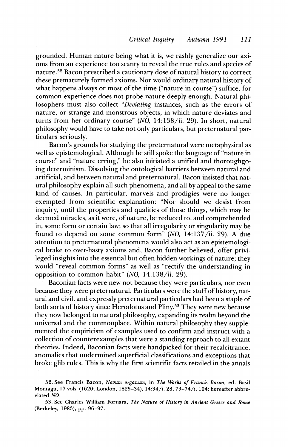**grounded. Human nature being what it is, we rashly generalize our axioms from an experience too scanty to reveal the true rules and species of nature.52 Bacon prescribed a cautionary dose of natural history to correct these prematurely formed axioms. Nor would ordinary natural history of what happens always or most of the time ("nature in course") suffice, for common experience does not probe nature deeply enough. Natural philosophers must also collect "Deviating instances, such as the errors of nature, or strange and monstrous objects, in which nature deviates and turns from her ordinary course" (NO, 14:138/ii. 29). In short, natural philosophy would have to take not only particulars, but preternatural particulars seriously.** 

**Bacon's grounds for studying the preternatural were metaphysical as well as epistemological. Although he still spoke the language of "nature in course" and "nature erring," he also initiated a unified and thoroughgoing determinism. Dissolving the ontological barriers between natural and artificial, and between natural and preternatural, Bacon insisted that natural philosophy explain all such phenomena, and all by appeal to the same kind of causes. In particular, marvels and prodigies were no longer exempted from scientific explanation: "Nor should we desist from inquiry, until the properties and qualities of those things, which may be deemed miracles, as it were, of nature, be reduced to, and comprehended in, some form or certain law; so that all irregularity or singularity may be found to depend on some common form" (NO, 14:137/ii. 29). A due attention to preternatural phenomena would also act as an epistemological brake to over-hasty axioms and, Bacon further believed, offer privileged insights into the essential but often hidden workings of nature; they would "reveal common forms" as well as "rectify the understanding in opposition to common habit" (NO, 14:138/ii. 29).** 

**Baconian facts were new not because they were particulars, nor even because they were preternatural. Particulars were the stuff of history, natural and civil, and expressly preternatural particulars had been a staple of both sorts of history since Herodotus and Pliny.53 They were new because they now belonged to natural philosophy, expanding its realm beyond the universal and the commonplace. Within natural philosophy they supplemented the empiricism of examples used to confirm and instruct with a collection of counterexamples that were a standing reproach to all extant theories. Indeed, Baconian facts were handpicked for their recalcitrance, anomalies that undermined superficial classifications and exceptions that broke glib rules. This is why the first scientific facts retailed in the annals** 

**<sup>52.</sup> See Francis Bacon, Novum organum, in The Works of Francis Bacon, ed. Basil Montagu, 17 vols. (1620; London, 1825-34), 14:34/i. 28, 73-74/i. 104; hereafter abbreviated NO.** 

**<sup>53.</sup> See Charles William Fornara, The Nature of History in Ancient Greece and Rome (Berkeley, 1983), pp. 96-97.**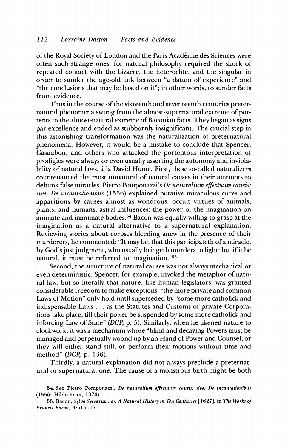**of the Royal Society of London and the Paris Academie des Sciences were often such strange ones, for natural philosophy required the shock of repeated contact with the bizarre, the heteroclite, and the singular in order to sunder the age-old link between "a datum of experience" and "the conclusions that may be based on it"; in other words, to sunder facts from evidence.** 

**Thus in the course of the sixteenth and seventeenth centuries preternatural phenomena swung from the almost-supernatural extreme of portents to the almost-natural extreme of Baconian facts. They began as signs par excellence and ended as stubbornly insignificant. The crucial step in this astonishing transformation was the naturalization of preternatural phenomena. However, it would be a mistake to conclude that Spencer, Casaubon, and others who attacked the portentous interpretation of prodigies were always or even usually asserting the autonomy and inviolability of natural laws, a la David Hume. First, these so-called naturalizers countenanced the most unnatural of natural causes in their attempts to debunk false miracles. Pietro Pomponazzi's De naturalium effectuum causis; sive, De incantationibus (1556) explained putative miraculous cures and apparitions by causes almost as wondrous: occult virtues of animals, plants, and humans; astral influences; the power of the imagination on animate and inanimate bodies.54 Bacon was equally willing to grasp at the imagination as a natural alternative to a supernatural explanation. Reviewing stories about corpses bleeding anew in the presence of their murderers, he commented: "It may be, that this participateth of a miracle, by God's just judgment, who usually bringeth murders to light: but if it be natural, it must be referred to imagination."55** 

**Second, the structure of natural causes was not always mechanical or even deterministic. Spencer, for example, invoked the metaphor of natural law, but so literally that nature, like human legislators, was granted considerable freedom to make exceptions: "the more private and common Laws of Motion" only hold until superseded by "some more catholick and indispensable Laws ... as the Statutes and Customs of private Corporations take place, till their power be suspended by some more catholick and inforcing Law of State" (DCP, p. 5). Similarly, when he likened nature to clockwork, it was a mechanism whose "blind and decaying Powers must be managed and perpetually woond up by an Hand of Power and Counsel, or they will either stand still, or perform their motions without time and method" (DCP, p. 136).** 

**Thirdly, a natural explanation did not always preclude a preternatural or supernatural one. The cause of a monstrous birth might be both** 

**<sup>54.</sup> See Pietro Pomponazzi, De naturalium effectuum causis; sive, De incantationibus (1556; Hildesheim, 1970).** 

**<sup>55.</sup> Bacon, Sylva Sylvarum: or, A Natural History in Ten Centuries [1627], in The Works of Francis Bacon, 4:516-17.**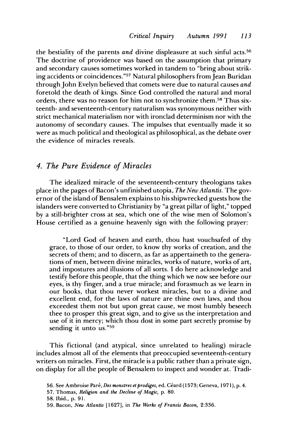**the bestiality of the parents and divine displeasure at such sinful acts.56 The doctrine of providence was based on the assumption that primary and secondary causes sometimes worked in tandem to "bring about striking accidents or coincidences."57 Natural philosophers from Jean Buridan through John Evelyn believed that comets were due to natural causes and foretold the death of kings. Since God controlled the natural and moral orders, there was no reason for him not to synchronize them.58 Thus sixteenth- and seventeenth-century naturalism was synonymous neither with strict mechanical materialism nor with ironclad determinism nor with the autonomy of secondary causes. The impulses that eventually made it so were as much political and theological as philosophical, as the debate over the evidence of miracles reveals.** 

### **4. The Pure Evidence of Miracles**

**The idealized miracle of the seventeenth-century theologians takes place in the pages of Bacon's unfinished utopia, The New Atlantis. The governor of the island of Bensalem explains to his shipwrecked guests how the islanders were converted to Christianity by "a great pillar of light," topped by a still-brighter cross at sea, which one of the wise men of Solomon's House certified as a genuine heavenly sign with the following prayer:** 

**"Lord God of heaven and earth, thou hast vouchsafed of thy grace, to those of our order, to know thy works of creation, and the secrets of them; and to discern, as far as appertaineth to the generations of men, between divine miracles, works of nature, works of art, and impostures and illusions of all sorts. I do here acknowledge and testify before this people, that the thing which we now see before our eyes, is thy finger, and a true miracle; and forasmuch as we learn in our books, that thou never workest miracles, but to a divine and excellent end, for the laws of nature are thine own laws, and thou exceedest them not but upon great cause, we most humbly beseech thee to prosper this great sign, and to give us the interpretation and use of it in mercy; which thou dost in some part secretly promise by sending it unto us."59** 

**This fictional (and atypical, since unrelated to healing) miracle includes almost all of the elements that preoccupied seventeenth-century writers on miracles. First, the miracle is a public rather than a private sign, on display for all the people of Bensalem to inspect and wonder at. Tradi-**

**57. Thomas, Religion and the Decline of Magic, p. 80.** 

<sup>56.</sup> See Ambroise Paré, *Des monstres et prodiges*, ed. Céard (1573; Geneva, 1971), p. 4.

**<sup>58.</sup> Ibid., p. 91.** 

**<sup>59.</sup> Bacon, New Atlantis [1627], in The Works of Francis Bacon, 2:336.**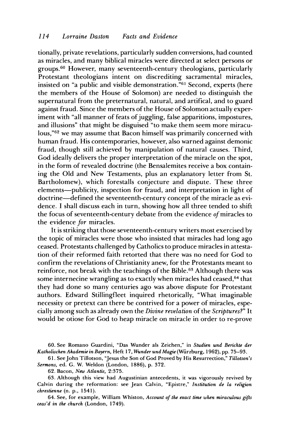**tionally, private revelations, particularly sudden conversions, had counted as miracles, and many biblical miracles were directed at select persons or groups.60 However, many seventeenth-century theologians, particularly Protestant theologians intent on discrediting sacramental miracles, insisted on "a public and visible demonstration."6' Second, experts (here the members of the House of Solomon) are needed to distinguish the supernatural from the preternatural, natural, and artifical, and to guard against fraud. Since the members of the House of Solomon actually exper**iment with "all manner of feats of juggling, false apparitions, impostures, **and illusions" that might be disguised "to make them seem more miraculous,"62 we may assume that Bacon himself was primarily concerned with human fraud. His contemporaries, however, also warned against demonic fraud, though still achieved by manipulation of natural causes. Third, God ideally delivers the proper interpretation of the miracle on the spot, in the form of revealed doctrine (the Bensalemites receive a box containing the Old and New Testaments, plus an explanatory letter from St. Bartholomew), which forestalls conjecture and dispute. These three elements-publicity, inspection for fraud, and interpretation in light of doctrine-defined the seventeenth-century concept of the miracle as evidence. I shall discuss each in turn, showing how all three tended to shift the focus of seventeenth-century debate from the evidence of miracles to the evidence for miracles.** 

**It is striking that those seventeenth-century writers most exercised by the topic of miracles were those who insisted that miracles had long ago ceased. Protestants challenged by Catholics to produce miracles in attestation of their reformed faith retorted that there was no need for God to confirm the revelations of Christianity anew, for the Protestants meant to reinforce, not break with the teachings of the Bible.63 Although there was some internecine wrangling as to exactly when miracles had ceased,64 that they had done so many centuries ago was above dispute for Protestant authors. Edward Stillingfleet inquired rhetorically, "What imaginable necessity or pretext can there be contrived for a power of miracles, especially among such as already own the Divine revelation of the Scriptures?" It would be otiose for God to heap miracle on miracle in order to re-prove** 

**60. See Romano Guardini, "Das Wunder als Zeichen," in Studien und Berichte der Katholischen Akademie in Bayern, Heft 17, Wunder und Magie (Wiirzburg, 1962), pp. 75-93.** 

**61. See John Tillotson, "Jesus the Son of God Proved by His Resurrection," Tillotson's Sermons, ed. G. W. Weldon (London, 1886), p. 372.** 

**62. Bacon, New Atlantis, 2:375.** 

**63. Although this view had Augustinian antecedents, it was vigorously revived by Calvin during the reformation: see Jean Calvin, "Epistre," Institution de la religion chrestienne (n. p., 1541).** 

**64. See, for example, William Whiston, Account of the exact time when miraculous gifts ceas'd in the church (London, 1749).**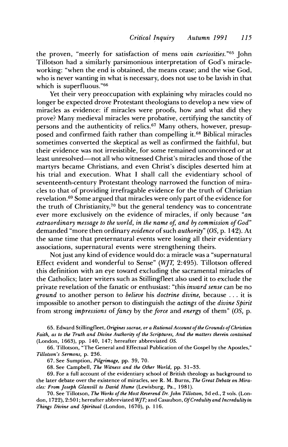**the proven, "meerly for satisfaction of mens vain curiosities."65 John Tillotson had a similarly parsimonious interpretation of God's miracleworking: "when the end is obtained, the means cease; and the wise God, who is never wanting in what is necessary, does not use to be lavish in that which is superfluous."66** 

**Yet their very preoccupation with explaining why miracles could no longer be expected drove Protestant theologians to develop a new view of miracles as evidence: if miracles were proofs, how and what did they prove? Many medieval miracles were probative, certifying the sanctity of persons and the authenticity of relics.67 Many others, however, presupposed and confirmed faith rather than compelling it.68 Biblical miracles sometimes converted the skeptical as well as confirmed the faithful, but their evidence was not irresistible, for some remained unconvinced or at least unresolved-not all who witnessed Christ's miracles and those of the martyrs became Christians, and even Christ's disciples deserted him at his trial and execution. What I shall call the evidentiary school of seventeenth-century Protestant theology narrowed the function of miracles to that of providing irrefragable evidence for the truth of Christian revelation.69 Some argued that miracles were only part of the evidence for the truth of Christianity,70 but the general tendency was to concentrate ever more exclusively on the evidence of miracles, if only because "an extraordinary message to the world, in the name of, and by commission of God" demanded "more then ordinary evidence of such authority" (OS, p. 142). At the same time that preternatural events were losing all their evidentiary associations, supernatural events were strengthening theirs.** 

**Not just any kind of evidence would do: a miracle was a "supernatural Effect evident and wonderful to Sense" (WJT, 2:495). Tillotson offered this definition with an eye toward excluding the sacramental miracles of the Catholics; later writers such as Stillingfleet also used it to exclude the private revelation of the fanatic or enthusiast: "this inward sense can be no ground to another person to believe his doctrine divine, because ... it is impossible to another person to distinguish the actings of the divine Spirit from strong impressions of fancy by the force and energy of them" (OS, p.** 

**65. Edward Stillingfleet, Origines sacrae, or a Rational Account of the Grounds of Christian Faith, as to the Truth and Divine Authority of the Scriptures, And the matters therein contained (London, 1663), pp. 140, 147; hereafter abbreviated OS.** 

**66. Tillotson, "The General and Effectual Publication of the Gospel by the Apostles," Tillotson's Sermons, p. 236.** 

**67. See Sumption, Pilgrimage, pp. 39, 70.** 

**68. See Campbell, The Witness and the Other World, pp. 31-33.** 

**69. For a full account of the evidentiary school of British theology as background to the later debate over the existence of miracles, see R. M. Burns, The Great Debate on Miracles: From Joseph Glanvill to David Hume (Lewisburg, Pa., 1981).** 

**70. See Tillotson, The Works of the Most Reverend Dr. John Tillotson, 3d ed., 2 vols. (London, 1722), 2:501; hereafter abbreviated WJT; and Casaubon, Of Credulity and Incredulity in Things Divine and Spiritual (London, 1670), p. 116.**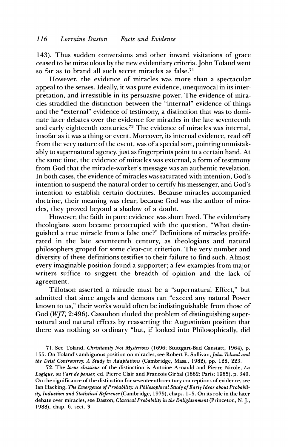**143). Thus sudden conversions and other inward visitations of grace ceased to be miraculous by the new evidentiary criteria. John Toland went so far as to brand all such secret miracles as false.7'** 

**However, the evidence of miracles was more than a spectacular appeal to the senses. Ideally, it was pure evidence, unequivocal in its interpretation, and irresistible in its persuasive power. The evidence of miracles straddled the distinction between the "internal" evidence of things and the "external" evidence of testimony, a distinction that was to dominate later debates over the evidence for miracles in the late seventeenth and early eighteenth centuries.72 The evidence of miracles was internal, insofar as it was a thing or event. Moreover, its internal evidence, read off from the very nature of the event, was of a special sort, pointing unmistakably to supernatural agency, just as fingerprints point to a certain hand. At the same time, the evidence of miracles was external, a form of testimony from God that the miracle-worker's message was an authentic revelation. In both cases, the evidence of miracles was saturated with intention, God's intention to suspend the natural order to certify his messenger, and God's intention to establish certain doctrines. Because miracles accompanied doctrine, their meaning was clear; because God was the author of miracles, they proved beyond a shadow of a doubt.** 

**However, the faith in pure evidence was short lived. The evidentiary theologians soon became preoccupied with the question, "What distinguished a true miracle from a false one?" Definitions of miracles proliferated in the late seventeenth century, as theologians and natural philosophers groped for some clear-cut criterion. The very number and diversity of these definitions testifies to their failure to find such. Almost every imaginable position found a supporter; a few examples from major writers suffice to suggest the breadth of opinion and the lack of agreement.** 

**Tillotson asserted a miracle must be a "supernatural Effect," but admitted that since angels and demons can "exceed any natural Power known to us," their works would often be indistinguishable from those of God (WJT, 2:496). Casaubon eluded the problem of distinguishing supernatural and natural effects by reasserting the Augustinian position that there was nothing so ordinary "but, if looked into Philosophically, did** 

**71. See Toland, Christianity Not Mysterious (1696; Stuttgart-Bad Canstatt, 1964), p.**  155. On Toland's ambiguous position on miracles, see Robert E. Sullivan, John Toland and **the Deist Controversy: A Study in Adaptations (Cambridge, Mass., 1982), pp. 128, 223.** 

**72. The locus classicus of the distinction is Antoine Arnauld and Pierre Nicole, La Logique, ou l'art de penser, ed. Pierre Clair and Francois Girbal (1662; Paris; 1965), p. 340. On the significance of the distinction for seventeenth-century conceptions of evidence, see Ian Hacking, The Emergence of Probability: A Philosophical Study of Early Ideas about Probability, Induction and Statistical Reference (Cambridge, 1975), chaps. 1-5. On its role in the later debate over miracles, see Daston, Classical Probability in the Enlightenment (Princeton, N.J., 1988), chap. 6, sect. 3.**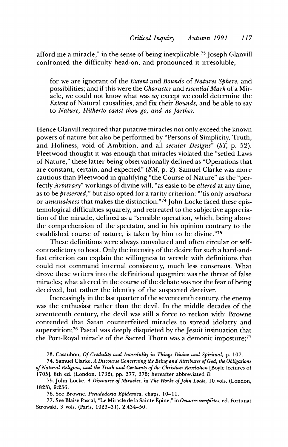**afford me a miracle," in the sense of being inexplicable.73 Joseph Glanvill confronted the difficulty head-on, and pronounced it irresoluble,** 

**for we are ignorant of the Extent and Bounds of Natures Sphere, and possibilities; and if this were the Character and essential Mark of a Miracle, we could not know what was so; except we could determine the Extent of Natural causalities, and fix their Bounds, and be able to say to Nature, Hitherto canst thou go, and no farther.** 

**Hence Glanvill.required that putative miracles not only exceed the known powers of nature but also be performed by "Persons of Simplicity, Truth, and Holiness, void of Ambition, and all secular Designs" (ST, p. 52). Fleetwood thought it was enough that miracles violated the "setled Laws of Nature," these latter being observationally defined as "Operations that are constant, certain, and expected" (EM, p. 2). Samuel Clarke was more cautious than Fleetwood in qualifying "the Course of Nature" as the "perfectly Arbitrary" workings of divine will, "as easie to be altered at any time, as to be preserved," but also opted for a rarity criterion: "'tis only usualness or unusualness that makes the distinction."74 John Locke faced these epistemological difficulties squarely, and retreated to the subjective appreciation of the miracle, defined as a "sensible operation, which, being above the comprehension of the spectator, and in his opinion contrary to the established course of nature, is taken by him to be divine."75** 

**These definitions were always convoluted and often circular or selfcontradictory to boot. Only the intensity of the desire for such a hard-andfast criterion can explain the willingness to wrestle with definitions that could not command internal consistency, much less consensus. What drove these writers into the definitional quagmire was the threat of false miracles; what altered in the course of the debate was not the fear of being deceived, but rather the identity of the suspected deceiver.** 

**Increasingly in the last quarter of the seventeenth century, the enemy was the enthusiast rather than the devil. In the middle decades of the seventeenth century, the devil was still a force to reckon with: Browne contended that Satan counterfeited miracles to spread idolatry and superstition;76 Pascal was deeply disquieted by the Jesuit insinuation that the Port-Royal miracle of the Sacred Thorn was a demonic imposture;77** 

**73. Casaubon, Of Credulity and Incredulity in Things Divine and Spiritual, p. 107.** 

**74. Samuel Clarke, A Discourse Concerning the Being and Attributes of God, the Obligations of Natural Religion, and the Truth and Certainty of the Christian Revelation [Boyle lectures of 1705], 8th ed. (London, 1732), pp. 377, 375; hereafter abbreviated D.** 

**75.John Locke, A Discourse of Miracles, in The Works of John Locke, 10 vols. (London, 1823), 9:256.** 

**76. See Browne, Pseudodoxia Epidemica, chaps. 10-11.** 

**77. See Blaise Pascal, "Le Miracle de la Sainte Epine," in Oeuvres completes, ed. Fortunat Strowski, 3 vols. (Paris, 1923-31), 2:434-50.**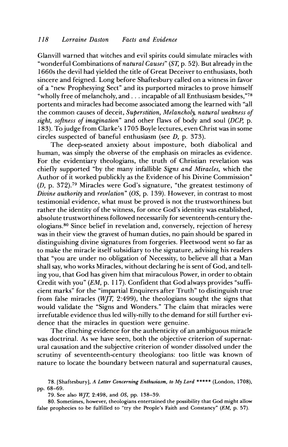**Glanvill warned that witches and evil spirits could simulate miracles with "wonderful Combinations of natural Causes" (ST, p. 52). But already in the 1660s the devil had yielded the title of Great Deceiver to enthusiasts, both sincere and feigned. Long before Shaftesbury called on a witness in favor of a "new Prophesying Sect" and its purported miracles to prove himself "wholly free of melancholy, and ... incapable of all Enthusiasm besides,"78 portents and miracles had become associated among the learned with "all the common causes of deceit, Superstition, Melancholy, natural weakness of sight, softness of imagination" and other flaws of body and soul (DCP, p. 183). Tojudge from Clarke's 1705 Boyle lectures, even Christ was in some circles suspected of baneful enthusiasm (see D, p. 373).** 

**The deep-seated anxiety about imposture, both diabolical and human, was simply the obverse of the emphasis on miracles as evidence. For the evidentiary theologians, the truth of Christian revelation was chiefly supported "by the many infallible Signs and Miracles, which the Author of it worked publickly as the Evidence of his Divine Commission" (D, p. 372).79 Miracles were God's signature, "the greatest testimony of Divine authority and revelation" (OS, p. 139). However, in contrast to most testimonial evidence, what must be proved is not the trustworthiness but rather the identity of the witness, for once God's identity was established, absolute trustworthiness followed necessarily for seventeenth-century theologians.80 Since belief in revelation and, conversely, rejection of heresy was in their view the gravest of human duties, no pain should be spared in distinguishing divine signatures from forgeries. Fleetwood went so far as to make the miracle itself subsidiary to the signature, advising his readers that "you are under no obligation of Necessity, to believe all that a Man shall say, who works Miracles, without declaring he is sent of God, and telling you, that God has given him that miraculous Power, in order to obtain Credit with you" (EM, p. 117). Confident that God always provides "sufficient marks" for the "impartial Enquirers after Truth" to distinguish true from false miracles (WJT, 2:499), the theologians sought the signs that would validate the "Signs and Wonders." The claim that miracles were irrefutable evidence thus led willy-nilly to the demand for still further evidence that the miracles in question were genuine.** 

**The clinching evidence for the authenticity of an ambiguous miracle was doctrinal. As we have seen, both the objective criterion of supernatural causation and the subjective criterion of wonder dissolved under the scrutiny of seventeenth-century theologians: too little was known of nature to locate the boundary between natural and supernatural causes,** 

**<sup>78. [</sup>Shaftesbury], A Letter Concerning Enthusiasm, to My Lord \*\*\*\*\* (London, 1708), pp. 68-69.** 

**<sup>79.</sup> See also WJT, 2:498, and OS, pp. 138-39.** 

**<sup>80.</sup> Sometimes, however, theologians entertained the possibility that God might allow**  false prophecies to be fulfilled to "try the People's Faith and Constancy" (EM, p. 57).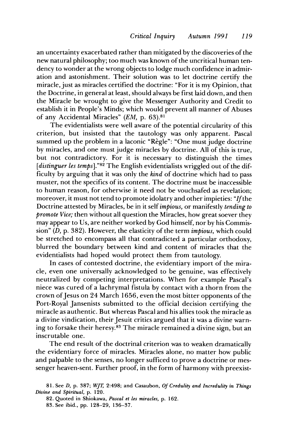**an uncertainty exacerbated rather than mitigated by the discoveries of the new natural philosophy; too much was known of the uncritical human tendency to wonder at the wrong objects to lodge much confidence in admiration and astonishment. Their solution was to let doctrine certify the miracle, just as miracles certified the doctrine: "For it is my Opinion, that the Doctrine, in general at least, should always be first laid down, and then the Miracle be wrought to give the Messenger Authority and Credit to establish it in People's Minds; which would prevent all manner of Abuses of any Accidental Miracles" (EM, p. 63).81** 

**The evidentialists were well aware of the potential circularity of this criterion, but insisted that the tautology was only apparent. Pascal summed up the problem in a laconic "Regle": "One must judge doctrine by miracles, and one must judge miracles by doctrine. All of this is true, but not contradictory. For it is necessary to distinguish the times**  [distinguer les temps]."<sup>82</sup> The English evidentialists wriggled out of the dif**ficulty by arguing that it was only the kind of doctrine which had to pass muster, not the specifics of its content. The doctrine must be inaccessible to human reason, for otherwise it need not be vouchsafed as revelation; moreover, it must not tend to promote idolatry and other impieties: "If the Doctrine attested by Miracles, be in it self impious, or manifestly tending to promote Vice; then without all question the Miracles, how great soever they may appear to Us, are neither worked by God himself, nor by his Commission" (D, p. 382). However, the elasticity of the term impious, which could be stretched to encompass all that contradicted a particular orthodoxy, blurred the boundary between kind and content of miracles that the evidentialists had hoped would protect them from tautology.** 

**In cases of contested doctrine, the evidentiary import of the miracle, even one universally acknowledged to be genuine, was effectively neutralized by competing interpretations. When for example Pascal's niece was cured of a lachrymal fistula by contact with a thorn from the crown of Jesus on 24 March 1656, even the most bitter opponents of the Port-Royal Jansenists submitted to the official decision certifying the miracle as authentic. But whereas Pascal and his allies took the miracle as a divine vindication, their Jesuit critics argued that it was a divine warning to forsake their heresy.83 The miracle remained a divine sign, but an inscrutable one.** 

**The end result of the doctrinal criterion was to weaken dramatically the evidentiary force of miracles. Miracles alone, no matter how public and palpable to the senses, no longer sufficed to prove a doctrine or messenger heaven-sent. Further proof, in the form of harmony with preexist-**

**82. Quoted in Shiokawa, Pascal et les miracles, p. 162.** 

**<sup>81.</sup> See D, p. 387; WJT, 2:498; and Casaubon, Of Credulity and Incredulity in Things Divine and Spiritual, p. 120.** 

**<sup>83.</sup> See ibid., pp. 128-29, 136-37.**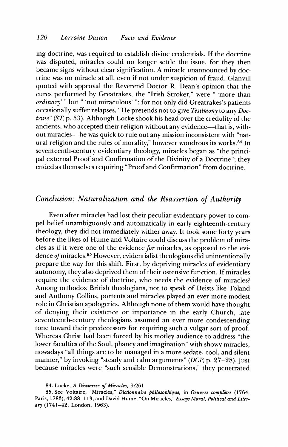**ing doctrine, was required to establish divine credentials. If the doctrine was disputed, miracles could no longer settle the issue, for they then became signs without clear signification. A miracle unannounced by doctrine was no miracle at all, even if not under suspicion of fraud. Glanvill quoted with approval the Reverend Doctor R. Dean's opinion that the cures performed by Greatrakes, the "Irish Stroker," were "'more than ordinary' " but " 'not miraculous' ": for not only did Greatrakes's patients occasionally suffer relapses, "He pretends not to give Testimony to any Doctrine" (ST, p. 53). Although Locke shook his head over the credulity of the**  ancients, who accepted their religion without any evidence—that is, with**out miracles-he was quick to rule out any mission inconsistent with "natural religion and the rules of morality," however wondrous its works.84 In seventeenth-century evidentiary theology, miracles began as "the principal external Proof and Confirmation of the Divinity of a Doctrine"; they ended as themselves requiring "Proof and Confirmation" from doctrine.** 

## **Conclusion: Naturalization and the Reassertion of Authority**

**Even after miracles had lost their peculiar evidentiary power to compel belief unambiguously and automatically in early eighteenth-century theology, they did not immediately wither away. It took some forty years before the likes of Hume and Voltaire could discuss the problem of mira**cles as if it were one of the evidence for miracles, as opposed to the evi**dence ofmiracles.85 However, evidentialist theologians did unintentionally prepare the way for this shift. First, by depriving miracles of evidentiary autonomy, they also deprived them of their ostensive function. If miracles require the evidence of doctrine, who needs the evidence of miracles? Among orthodox British theologians, not to speak of Deists like Toland and Anthony Collins, portents and miracles played an ever more modest role in Christian apologetics. Although none of them would have thought of denying their existence or importance in the early Church, late seventeenth-century theologians assumed an ever more condescending tone toward their predecessors for requiring such a vulgar sort of proof. Whereas Christ had been forced by his motley audience to address "the lower faculties of the Soul, phancy and imagination" with showy miracles, nowadays "all things are to be managed in a more sedate, cool, and silent manner," by invoking "steady and calm arguments" (DCP, p. 27-28). Just because miracles were "such sensible Demonstrations," they penetrated** 

**<sup>84.</sup> Locke, A Discourse of Miracles, 9:261.** 

**<sup>85.</sup> See Voltaire, "Miracles," Dictionnaire philosophique, in Oeuvres completes (1764; Paris, 1783), 42:88-113, and David Hume, "On Miracles," Essays Moral, Political and Literary (1741-42; London, 1963).**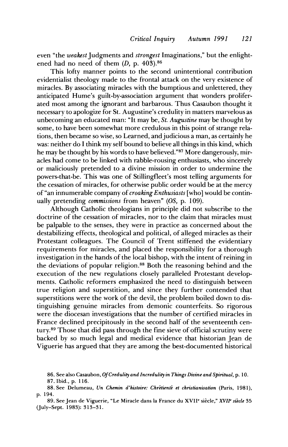even "the weakest Judgments and strongest Imaginations," but the enlight**ened had no need of them (D, p. 403).86** 

**This lofty manner points to the second unintentional contribution evidentialist theology made to the frontal attack on the very existence of miracles. By associating miracles with the bumptious and unlettered, they anticipated Hume's guilt-by-association argument that wonders proliferated most among the ignorant and barbarous. Thus Casaubon thought it necessary to apologize for St. Augustine's credulity in matters marvelous as unbecoming an educated man: "It may be, St. Augustine may be thought by some, to have been somewhat more credulous in this point of strange relations, then became so wise, so Learned, andjudicious a man, as certainly he was: neither do I think my self bound to believe all things in this kind, which he may be thought by his words to have believed."87 More dangerously, miracles had come to be linked with rabble-rousing enthusiasts, who sincerely or maliciously pretended to a divine mission in order to undermine the powers-that-be. This was one of Stillingfleet's most telling arguments for the cessation of miracles, for otherwise public order would be at the mercy of "an innumerable company of croaking Enthusiasts [who] would be continually pretending commissions from heaven" (OS, p. 109).** 

**Although Catholic theologians in principle did not subscribe to the doctrine of the cessation of miracles, nor to the claim that miracles must be palpable to the senses, they were in practice as concerned about the destabilizing effects, theological and political, of alleged miracles as their Protestant colleagues. The Council of Trent stiffened the evidentiary requirements for miracles, and placed the responsibility for a thorough investigation in the hands of the local bishop, with the intent of reining in the deviations of popular religion.88 Both the reasoning behind and the execution of the new regulations closely paralleled Protestant developments. Catholic reformers emphasized the need to distinguish between true religion and superstition, and since they further contended that superstitions were the work of the devil, the problem boiled down to distinguishing genuine miracles from demonic counterfeits. So rigorous were the diocesan investigations that the number of certified miracles in France declined precipitously in the second half of the seventeenth century.89 Those that did pass through the fine sieve of official scrutiny were backed by so much legal and medical evidence that historian Jean de Viguerie has argued that they are among the best-documented historical** 

**86. See also Casaubon, Of Credulity and Incredulity in Things Divine and Spiritual, p. 10.** 

**87. Ibid., p. 116.** 

**<sup>88.</sup> See Delumeau, Un Chemin d'histoire: Chretiente et christianisation (Paris, 1981), p. 194.** 

**<sup>89.</sup> See Jean de Viguerie, "Le Miracle dans la France du XVIIe siecle," XVIIe siecle 35 (July-Sept. 1983): 313-31.**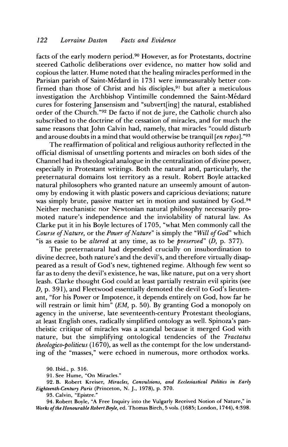**facts of the early modern period.90 However, as for Protestants, doctrine steered Catholic deliberations over evidence, no matter how solid and copious the latter. Hume noted that the healing miracles performed in the Parisian parish of Saint-Medard in 1731 were immeasurably better confirmed than those of Christ and his disciples,91 but after a meticulous investigation the Archbishop Vintimille condemned the Saint-Medard cures for fostering Jansensism and "subvert[ing] the natural, established order of the Church."92 De facto if not de jure, the Catholic church also subscribed to the doctrine of the cessation of miracles, and for much the same reasons that John Calvin had, namely, that miracles "could disturb and arouse doubts in a mind that would otherwise be tranquil [en repos]."93** 

**The reaffirmation of political and religious authority reflected in the official dismissal of unsettling portents and miracles on both sides of the Channel had its theological analogue in the centralization of divine power, especially in Protestant writings. Both the natural and, particularly, the preternatural domains lost territory as a result. Robert Boyle attacked natural philosophers who granted nature an unseemly amount of autonomy by endowing it with plastic powers and capricious deviations; nature was simply brute, passive matter set in motion and sustained by God.94 Neither mechanistic nor Newtonian natural philosophy necessarily promoted nature's independence and the inviolability of natural law. As Clarke put it in his Boyle lectures of 1705, "what Men commonly call the Course of Nature, or the Power of Nature" is simply the "Will of God" which "is as easie to be altered at any time, as to be preserved" (D, p. 377).** 

**The preternatural had depended crucially on insubordination to divine decree, both nature's and the devil's, and therefore virtually disappeared as a result of God's new, tightened regime. Although few went so**  far as to deny the devil's existence, he was, like nature, put on a very short **leash. Clarke thought God could at least partially restrain evil spirits (see D, p. 391), and Fleetwood essentially demoted the devil to God's lieutenant, "for his Power or Impotence, it depends entirely on God, how far he will restrain or limit him" (EM, p. 50). By granting God a monopoly on agency in the universe, late seventeenth-century Protestant theologians, at least English ones, radically simplified ontology as well. Spinoza's pantheistic critique of miracles was a scandal because it merged God with nature, but the simplifying ontological tendencies of the Tractatus theologico-politicus (1670), as well as the contempt for the low understanding of the "masses," were echoed in numerous, more orthodox works.** 

**92. B. Robert Kreiser, Miracles, Convulsions, and Ecclesiastical Politics in Early Eighteenth-Century Paris (Princeton, N. J., 1978), p. 370.** 

**93. Calvin, "Epistre."** 

**94. Robert Boyle, "A Free Inquiry into the Vulgarly Received Notion of Nature," in Works of the Honourable Robert Boyle, ed. Thomas Birch, 5 vols. (1685; London, 1744), 4:398.** 

**<sup>90.</sup> Ibid., p. 316.** 

**<sup>91.</sup> See Hume, "On Miracles."**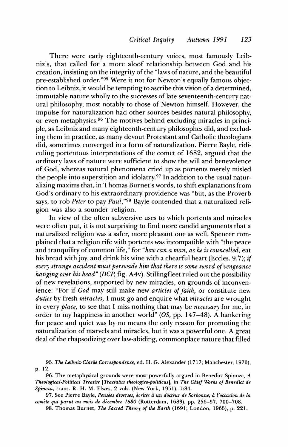**There were early eighteenth-century voices, most famously Leibniz's, that called for a more aloof relationship between God and his creation, insisting on the integrity of the "laws of nature, and the beautiful pre-established order."95 Were it not for Newton's equally famous objection to Leibniz, it would be tempting to ascribe this vision of a determined, immutable nature wholly to the successes of late seventeenth-century natural philosophy, most notably to those of Newton himself. However, the impulse for naturalization had other sources besides natural philosophy, or even metaphysics.96 The motives behind excluding miracles in principle, as Leibniz and many eighteenth-century philosophes did, and excluding them in practice, as many devout Protestant and Catholic theologians did, sometimes converged in a form of naturalization. Pierre Bayle, ridiculing portentous interpretations of the comet of 1682, argued that the ordinary laws of nature were sufficient to show the will and benevolence of God, whereas natural phenomena cried up as portents merely misled the people into superstition and idolatry.97 In addition to the usual naturalizing maxims that, in Thomas Burnet's words, to shift explanations from God's ordinary to his extraordinary providence was "but, as the Proverb**  says, to rob *Peter* to pay *Paul*,"<sup>98</sup> Bayle contended that a naturalized reli**gion was also a sounder religion.** 

**In view of the often subversive uses to which portents and miracles were often put, it is not surprising to find more candid arguments that a naturalized religion was a safer, more pleasant one as well. Spencer complained that a religion rife with portents was incompatible with "the peace and tranquility of common life," for "how can a man, as he is councelled, eat his bread with joy, and drink his wine with a chearful heart (Eccles. 9.7); if every strange accident must perswade him that there is some sword of vengeance hanging over his head" (DCP, fig. A4v). Stillingfleet ruled out the possibility of new revelations, supported by new miracles, on grounds of inconven**ience: "For if God may still make new articles of faith, or constitute new **duties by fresh miracles, I must go and enquire what miracles are wrought in every place, to see that I miss nothing that may be necessary for me, in order to my happiness in another world" (OS, pp. 147-48). A hankering for peace and quiet was by no means the only reason for promoting the naturalization of marvels and miracles, but it was a powerful one. A great deal of the rhapsodizing over law-abiding, commonplace nature that filled** 

**95. The Leibniz-Clarke Correspondence, ed. H. G. Alexander (1717; Manchester, 1970), p. 12.** 

**96. The metaphysical grounds were most powerfully argued in Benedict Spinoza, A Theological-Political Treatise [Tractatus theologico-politicus], in The Chief Works of Benedict de Spinoza, trans. R. H. M. Elwes, 2 vols. (New York, 1951), 1:84.** 

**97. See Pierre Bayle, Pensees diverses, ecrites a un docteur de Sorbonne, a l'occasion de la comete qui parut au mois de decembre 1680 (Rotterdam, 1683), pp. 256-57, 700-708.** 

**98. Thomas Burnet, The Sacred Theory of the Earth (1691; London, 1965), p. 221.**